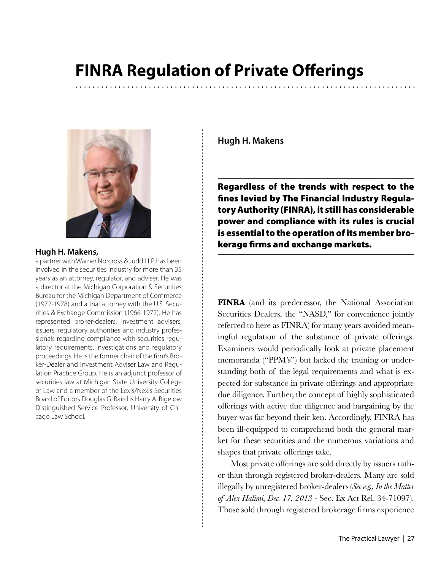# **FINRA Regulation of Private Offerings**



## **Hugh H. Makens,**

a partner with Warner Norcross & Judd LLP, has been involved in the securities industry for more than 35 years as an attorney, regulator, and adviser. He was a director at the Michigan Corporation & Securities Bureau for the Michigan Department of Commerce (1972-1978) and a trial attorney with the U.S. Securities & Exchange Commission (1966-1972). He has represented broker-dealers, investment advisers, issuers, regulatory authorities and industry professionals regarding compliance with securities regulatory requirements, investigations and regulatory proceedings. He is the former chair of the firm's Broker-Dealer and Investment Adviser Law and Regulation Practice Group. He is an adjunct professor of securities law at Michigan State University College of Law and a member of the Lexis/Nexis Securities Board of Editors Douglas G. Baird is Harry A. Bigelow Distinguished Service Professor, University of Chicago Law School.

**Hugh H. Makens** 

Regardless of the trends with respect to the fines levied by The Financial Industry Regulatory Authority (FINRA), it still has considerable power and compliance with its rules is crucial is essential to the operation of its member brokerage firms and exchange markets.

**FINRA** (and its predecessor, the National Association Securities Dealers, the "NASD," for convenience jointly referred to here as FINRA) for many years avoided meaningful regulation of the substance of private offerings. Examiners would periodically look at private placement memoranda ("PPM's") but lacked the training or understanding both of the legal requirements and what is expected for substance in private offerings and appropriate due diligence. Further, the concept of highly sophisticated offerings with active due diligence and bargaining by the buyer was far beyond their ken. Accordingly, FINRA has been ill-equipped to comprehend both the general market for these securities and the numerous variations and shapes that private offerings take.

Most private offerings are sold directly by issuers rather than through registered broker-dealers. Many are sold illegally by unregistered broker-dealers (*See e.g., In the Matter of Alex Halimi, Dec. 17, 2013 -* Sec. Ex Act Rel. 34-71097). Those sold through registered brokerage firms experience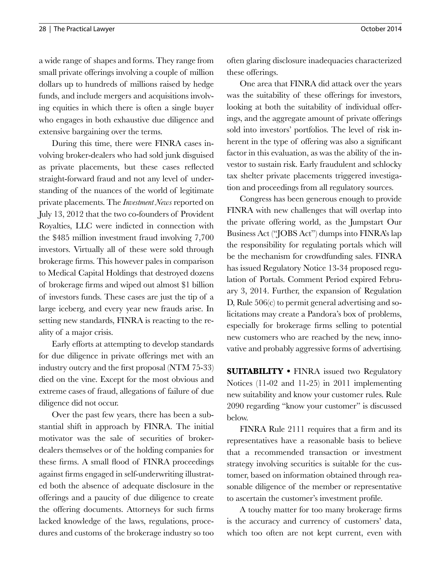a wide range of shapes and forms. They range from small private offerings involving a couple of million dollars up to hundreds of millions raised by hedge funds, and include mergers and acquisitions involving equities in which there is often a single buyer who engages in both exhaustive due diligence and extensive bargaining over the terms.

During this time, there were FINRA cases involving broker-dealers who had sold junk disguised as private placements, but these cases reflected straight-forward fraud and not any level of understanding of the nuances of the world of legitimate private placements. The *Investment News* reported on July 13, 2012 that the two co-founders of Provident Royalties, LLC were indicted in connection with the \$485 million investment fraud involving 7,700 investors. Virtually all of these were sold through brokerage firms. This however pales in comparison to Medical Capital Holdings that destroyed dozens of brokerage firms and wiped out almost \$1 billion of investors funds. These cases are just the tip of a large iceberg, and every year new frauds arise. In setting new standards, FINRA is reacting to the reality of a major crisis.

Early efforts at attempting to develop standards for due diligence in private offerings met with an industry outcry and the first proposal (NTM 75-33) died on the vine. Except for the most obvious and extreme cases of fraud, allegations of failure of due diligence did not occur.

Over the past few years, there has been a substantial shift in approach by FINRA. The initial motivator was the sale of securities of brokerdealers themselves or of the holding companies for these firms. A small flood of FINRA proceedings against firms engaged in self-underwriting illustrated both the absence of adequate disclosure in the offerings and a paucity of due diligence to create the offering documents. Attorneys for such firms lacked knowledge of the laws, regulations, procedures and customs of the brokerage industry so too

often glaring disclosure inadequacies characterized these offerings.

One area that FINRA did attack over the years was the suitability of these offerings for investors, looking at both the suitability of individual offerings, and the aggregate amount of private offerings sold into investors' portfolios. The level of risk inherent in the type of offering was also a significant factor in this evaluation, as was the ability of the investor to sustain risk. Early fraudulent and schlocky tax shelter private placements triggered investigation and proceedings from all regulatory sources.

Congress has been generous enough to provide FINRA with new challenges that will overlap into the private offering world, as the Jumpstart Our Business Act ("JOBS Act") dumps into FINRA's lap the responsibility for regulating portals which will be the mechanism for crowdfunding sales. FINRA has issued Regulatory Notice 13-34 proposed regulation of Portals. Comment Period expired February 3, 2014. Further, the expansion of Regulation D, Rule 506(c) to permit general advertising and solicitations may create a Pandora's box of problems, especially for brokerage firms selling to potential new customers who are reached by the new, innovative and probably aggressive forms of advertising.

**SUITABILITY •** FINRA issued two Regulatory Notices (11-02 and 11-25) in 2011 implementing new suitability and know your customer rules. Rule 2090 regarding "know your customer" is discussed below.

FINRA Rule 2111 requires that a firm and its representatives have a reasonable basis to believe that a recommended transaction or investment strategy involving securities is suitable for the customer, based on information obtained through reasonable diligence of the member or representative to ascertain the customer's investment profile.

A touchy matter for too many brokerage firms is the accuracy and currency of customers' data, which too often are not kept current, even with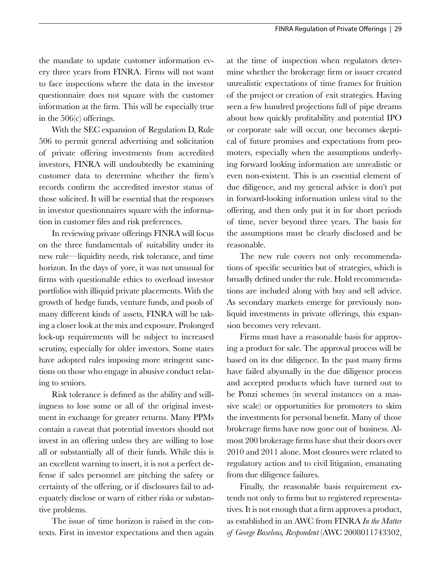the mandate to update customer information every three years from FINRA. Firms will not want to face inspections where the data in the investor questionnaire does not square with the customer information at the firm. This will be especially true in the 506(c) offerings.

With the SEC expansion of Regulation D, Rule 506 to permit general advertising and solicitation of private offering investments from accredited investors, FINRA will undoubtedly be examining customer data to determine whether the firm's records confirm the accredited investor status of those solicited. It will be essential that the responses in investor questionnaires square with the information in customer files and risk preferences.

In reviewing private offerings FINRA will focus on the three fundamentals of suitability under its new rule—liquidity needs, risk tolerance, and time horizon. In the days of yore, it was not unusual for firms with questionable ethics to overload investor portfolios with illiquid private placements. With the growth of hedge funds, venture funds, and pools of many different kinds of assets, FINRA will be taking a closer look at the mix and exposure. Prolonged lock-up requirements will be subject to increased scrutiny, especially for older investors. Some states have adopted rules imposing more stringent sanctions on those who engage in abusive conduct relating to seniors.

Risk tolerance is defined as the ability and willingness to lose some or all of the original investment in exchange for greater returns. Many PPMs contain a caveat that potential investors should not invest in an offering unless they are willing to lose all or substantially all of their funds. While this is an excellent warning to insert, it is not a perfect defense if sales personnel are pitching the safety or certainty of the offering, or if disclosures fail to adequately disclose or warn of either risks or substantive problems.

The issue of time horizon is raised in the contexts. First in investor expectations and then again at the time of inspection when regulators determine whether the brokerage firm or issuer created unrealistic expectations of time frames for fruition of the project or creation of exit strategies. Having seen a few hundred projections full of pipe dreams about how quickly profitability and potential IPO or corporate sale will occur, one becomes skeptical of future promises and expectations from promoters, especially when the assumptions underlying forward looking information are unrealistic or even non-existent. This is an essential element of due diligence, and my general advice is don't put in forward-looking information unless vital to the offering, and then only put it in for short periods of time, never beyond three years. The basis for the assumptions must be clearly disclosed and be reasonable.

The new rule covers not only recommendations of specific securities but of strategies, which is broadly defined under the rule. Hold recommendations are included along with buy and sell advice. As secondary markets emerge for previously nonliquid investments in private offerings, this expansion becomes very relevant.

Firms must have a reasonable basis for approving a product for sale. The approval process will be based on its due diligence. In the past many firms have failed abysmally in the due diligence process and accepted products which have turned out to be Ponzi schemes (in several instances on a massive scale) or opportunities for promoters to skim the investments for personal benefit. Many of those brokerage firms have now gone out of business. Almost 200 brokerage firms have shut their doors over 2010 and 2011 alone. Most closures were related to regulatory action and to civil litigation, emanating from due diligence failures.

Finally, the reasonable basis requirement extends not only to firms but to registered representatives. It is not enough that a firm approves a product, as established in an AWC from FINRA *In the Matter of George Baselous, Respondent* (AWC 2008011743302,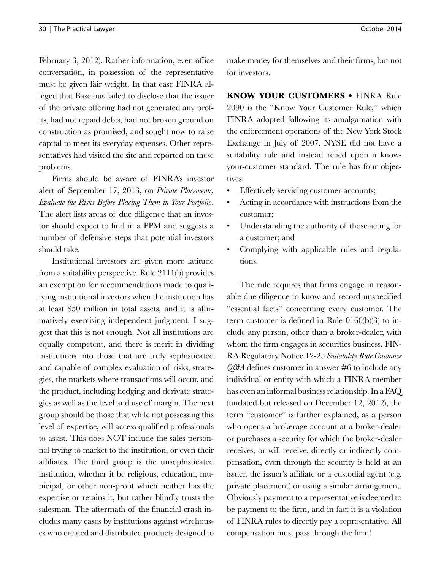February 3, 2012). Rather information, even office conversation, in possession of the representative must be given fair weight. In that case FINRA alleged that Baselous failed to disclose that the issuer of the private offering had not generated any profits, had not repaid debts, had not broken ground on construction as promised, and sought now to raise capital to meet its everyday expenses. Other representatives had visited the site and reported on these problems.

Firms should be aware of FINRA's investor alert of September 17, 2013, on *Private Placements, Evaluate the Risks Before Placing Them in Your Portfolio*. The alert lists areas of due diligence that an investor should expect to find in a PPM and suggests a number of defensive steps that potential investors should take.

Institutional investors are given more latitude from a suitability perspective. Rule 2111(b) provides an exemption for recommendations made to qualifying institutional investors when the institution has at least \$50 million in total assets, and it is affirmatively exercising independent judgment. I suggest that this is not enough. Not all institutions are equally competent, and there is merit in dividing institutions into those that are truly sophisticated and capable of complex evaluation of risks, strategies, the markets where transactions will occur, and the product, including hedging and derivate strategies as well as the level and use of margin. The next group should be those that while not possessing this level of expertise, will access qualified professionals to assist. This does NOT include the sales personnel trying to market to the institution, or even their affiliates. The third group is the unsophisticated institution, whether it be religious, education, municipal, or other non-profit which neither has the expertise or retains it, but rather blindly trusts the salesman. The aftermath of the financial crash includes many cases by institutions against wirehouses who created and distributed products designed to

make money for themselves and their firms, but not for investors.

**KNOW YOUR CUSTOMERS •** FINRA Rule 2090 is the "Know Your Customer Rule," which FINRA adopted following its amalgamation with the enforcement operations of the New York Stock Exchange in July of 2007. NYSE did not have a suitability rule and instead relied upon a knowyour-customer standard. The rule has four objectives:

- Effectively servicing customer accounts;
- Acting in accordance with instructions from the customer;
- Understanding the authority of those acting for a customer; and
- Complying with applicable rules and regulations.

The rule requires that firms engage in reasonable due diligence to know and record unspecified "essential facts" concerning every customer. The term customer is defined in Rule 0160(b)(3) to include any person, other than a broker-dealer, with whom the firm engages in securities business. FIN-RA Regulatory Notice 12-25 *Suitability Rule Guidance Q&A* defines customer in answer #6 to include any individual or entity with which a FINRA member has even an informal business relationship. In a FAQ (undated but released on December 12, 2012), the term "customer" is further explained, as a person who opens a brokerage account at a broker-dealer or purchases a security for which the broker-dealer receives, or will receive, directly or indirectly compensation, even through the security is held at an issuer, the issuer's affiliate or a custodial agent (e.g. private placement) or using a similar arrangement. Obviously payment to a representative is deemed to be payment to the firm, and in fact it is a violation of FINRA rules to directly pay a representative. All compensation must pass through the firm!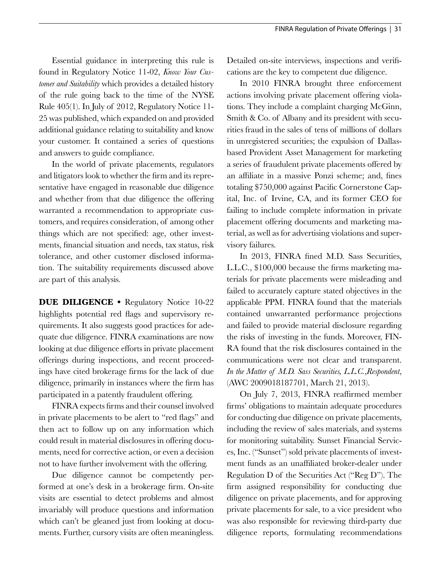Essential guidance in interpreting this rule is found in Regulatory Notice 11-02, *Know Your Customer and Suitability* which provides a detailed history of the rule going back to the time of the NYSE Rule 405(1). In July of 2012, Regulatory Notice 11- 25 was published, which expanded on and provided additional guidance relating to suitability and know your customer. It contained a series of questions and answers to guide compliance.

In the world of private placements, regulators and litigators look to whether the firm and its representative have engaged in reasonable due diligence and whether from that due diligence the offering warranted a recommendation to appropriate customers, and requires consideration, of among other things which are not specified: age, other investments, financial situation and needs, tax status, risk tolerance, and other customer disclosed information. The suitability requirements discussed above are part of this analysis.

**DUE DILIGENCE •** Regulatory Notice 10-22 highlights potential red flags and supervisory requirements. It also suggests good practices for adequate due diligence. FINRA examinations are now looking at due diligence efforts in private placement offerings during inspections, and recent proceedings have cited brokerage firms for the lack of due diligence, primarily in instances where the firm has participated in a patently fraudulent offering.

FINRA expects firms and their counsel involved in private placements to be alert to "red flags" and then act to follow up on any information which could result in material disclosures in offering documents, need for corrective action, or even a decision not to have further involvement with the offering.

Due diligence cannot be competently performed at one's desk in a brokerage firm. On-site visits are essential to detect problems and almost invariably will produce questions and information which can't be gleaned just from looking at documents. Further, cursory visits are often meaningless. Detailed on-site interviews, inspections and verifications are the key to competent due diligence.

In 2010 FINRA brought three enforcement actions involving private placement offering violations. They include a complaint charging McGinn, Smith & Co. of Albany and its president with securities fraud in the sales of tens of millions of dollars in unregistered securities; the expulsion of Dallasbased Provident Asset Management for marketing a series of fraudulent private placements offered by an affiliate in a massive Ponzi scheme; and, fines totaling \$750,000 against Pacific Cornerstone Capital, Inc. of Irvine, CA, and its former CEO for failing to include complete information in private placement offering documents and marketing material, as well as for advertising violations and supervisory failures.

In 2013, FINRA fined M.D. Sass Securities, L.L.C., \$100,000 because the firms marketing materials for private placements were misleading and failed to accurately capture stated objectives in the applicable PPM. FINRA found that the materials contained unwarranted performance projections and failed to provide material disclosure regarding the risks of investing in the funds. Moreover, FIN-RA found that the risk disclosures contained in the communications were not clear and transparent. *In the Matter of M.D. Sass Securities, L.L.C.*,*Respondent*, (AWC 2009018187701, March 21, 2013).

On July 7, 2013, FINRA reaffirmed member firms' obligations to maintain adequate procedures for conducting due diligence on private placements, including the review of sales materials, and systems for monitoring suitability. Sunset Financial Services, Inc. ("Sunset") sold private placements of investment funds as an unaffiliated broker-dealer under Regulation D of the Securities Act ("Reg D"). The firm assigned responsibility for conducting due diligence on private placements, and for approving private placements for sale, to a vice president who was also responsible for reviewing third-party due diligence reports, formulating recommendations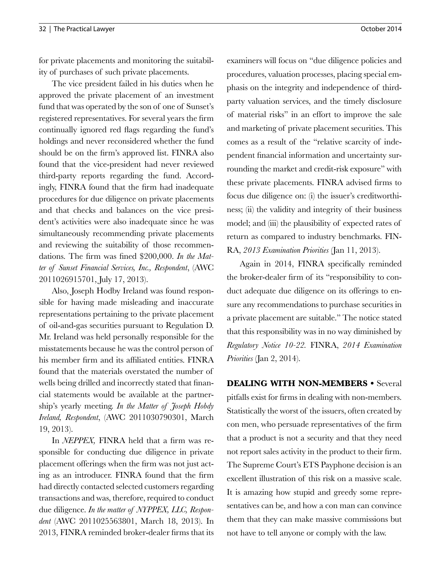for private placements and monitoring the suitability of purchases of such private placements.

The vice president failed in his duties when he approved the private placement of an investment fund that was operated by the son of one of Sunset's registered representatives. For several years the firm continually ignored red flags regarding the fund's holdings and never reconsidered whether the fund should be on the firm's approved list. FINRA also found that the vice-president had never reviewed third-party reports regarding the fund. Accordingly, FINRA found that the firm had inadequate procedures for due diligence on private placements and that checks and balances on the vice president's activities were also inadequate since he was simultaneously recommending private placements and reviewing the suitability of those recommendations. The firm was fined \$200,000. *In the Matter of Sunset Financial Services, Inc., Respondent*, (AWC 2011026915701, July 17, 2013).

Also, Joseph Hodby Ireland was found responsible for having made misleading and inaccurate representations pertaining to the private placement of oil-and-gas securities pursuant to Regulation D. Mr. Ireland was held personally responsible for the misstatements because he was the control person of his member firm and its affiliated entities. FINRA found that the materials overstated the number of wells being drilled and incorrectly stated that financial statements would be available at the partnership's yearly meeting. *In the Matter of Joseph Hobdy Ireland, Respondent*, (AWC 2011030790301, March 19, 2013).

In *NEPPEX,* FINRA held that a firm was responsible for conducting due diligence in private placement offerings when the firm was not just acting as an introducer. FINRA found that the firm had directly contacted selected customers regarding transactions and was, therefore, required to conduct due diligence. *In the matter of NYPPEX, LLC, Respondent* (AWC 2011025563801, March 18, 2013). In 2013, FINRA reminded broker-dealer firms that its examiners will focus on "due diligence policies and procedures, valuation processes, placing special emphasis on the integrity and independence of thirdparty valuation services, and the timely disclosure of material risks" in an effort to improve the sale and marketing of private placement securities. This comes as a result of the "relative scarcity of independent financial information and uncertainty surrounding the market and credit-risk exposure" with these private placements. FINRA advised firms to focus due diligence on: (i) the issuer's creditworthiness; (ii) the validity and integrity of their business model; and (iii) the plausibility of expected rates of return as compared to industry benchmarks. FIN-RA, *2013 Examination Priorities* (Jan 11, 2013).

Again in 2014, FINRA specifically reminded the broker-dealer firm of its "responsibility to conduct adequate due diligence on its offerings to ensure any recommendations to purchase securities in a private placement are suitable." The notice stated that this responsibility was in no way diminished by *Regulatory Notice 10-22.* FINRA, *2014 Examination Priorities* (Jan 2, 2014).

**DEALING WITH NON-MEMBERS •** Several pitfalls exist for firms in dealing with non-members. Statistically the worst of the issuers, often created by con men, who persuade representatives of the firm that a product is not a security and that they need not report sales activity in the product to their firm. The Supreme Court's ETS Payphone decision is an excellent illustration of this risk on a massive scale. It is amazing how stupid and greedy some representatives can be, and how a con man can convince them that they can make massive commissions but not have to tell anyone or comply with the law.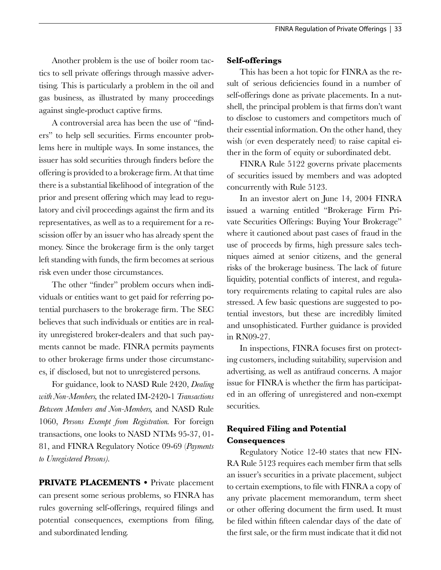Another problem is the use of boiler room tactics to sell private offerings through massive advertising. This is particularly a problem in the oil and gas business, as illustrated by many proceedings against single-product captive firms.

A controversial area has been the use of "finders" to help sell securities. Firms encounter problems here in multiple ways. In some instances, the issuer has sold securities through finders before the offering is provided to a brokerage firm. At that time there is a substantial likelihood of integration of the prior and present offering which may lead to regulatory and civil proceedings against the firm and its representatives, as well as to a requirement for a rescission offer by an issuer who has already spent the money. Since the brokerage firm is the only target left standing with funds, the firm becomes at serious risk even under those circumstances.

The other "finder" problem occurs when individuals or entities want to get paid for referring potential purchasers to the brokerage firm. The SEC believes that such individuals or entities are in reality unregistered broker-dealers and that such payments cannot be made. FINRA permits payments to other brokerage firms under those circumstances, if disclosed, but not to unregistered persons.

For guidance, look to NASD Rule 2420, *Dealing with Non-Members,* the related IM-2420-1 *Transactions Between Members and Non-Members,* and NASD Rule 1060, *Persons Exempt from Registration.* For foreign transactions, one looks to NASD NTMs 95-37, 01- 81, and FINRA Regulatory Notice 09-69 (*Payments to Unregistered Persons).* 

**PRIVATE PLACEMENTS •** Private placement can present some serious problems, so FINRA has rules governing self-offerings, required filings and potential consequences, exemptions from filing, and subordinated lending.

#### **Self-offerings**

This has been a hot topic for FINRA as the result of serious deficiencies found in a number of self-offerings done as private placements. In a nutshell, the principal problem is that firms don't want to disclose to customers and competitors much of their essential information. On the other hand, they wish (or even desperately need) to raise capital either in the form of equity or subordinated debt.

FINRA Rule 5122 governs private placements of securities issued by members and was adopted concurrently with Rule 5123.

In an investor alert on June 14, 2004 FINRA issued a warning entitled "Brokerage Firm Private Securities Offerings: Buying Your Brokerage" where it cautioned about past cases of fraud in the use of proceeds by firms, high pressure sales techniques aimed at senior citizens, and the general risks of the brokerage business. The lack of future liquidity, potential conflicts of interest, and regulatory requirements relating to capital rules are also stressed. A few basic questions are suggested to potential investors, but these are incredibly limited and unsophisticated. Further guidance is provided in RN09-27.

In inspections, FINRA focuses first on protecting customers, including suitability, supervision and advertising, as well as antifraud concerns. A major issue for FINRA is whether the firm has participated in an offering of unregistered and non-exempt securities.

## **Required Filing and Potential Consequences**

Regulatory Notice 12-40 states that new FIN-RA Rule 5123 requires each member firm that sells an issuer's securities in a private placement, subject to certain exemptions, to file with FINRA a copy of any private placement memorandum, term sheet or other offering document the firm used. It must be filed within fifteen calendar days of the date of the first sale, or the firm must indicate that it did not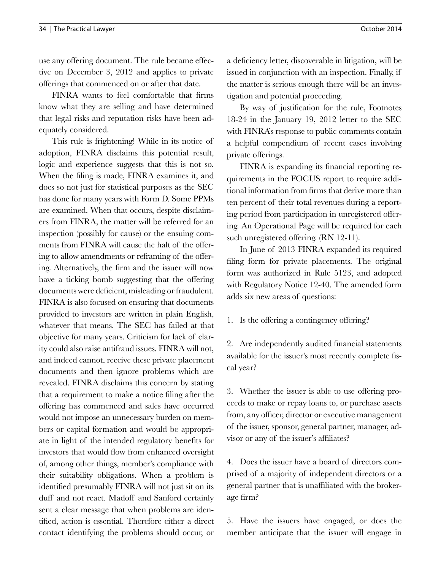use any offering document. The rule became effective on December 3, 2012 and applies to private offerings that commenced on or after that date.

FINRA wants to feel comfortable that firms know what they are selling and have determined that legal risks and reputation risks have been adequately considered.

This rule is frightening! While in its notice of adoption, FINRA disclaims this potential result, logic and experience suggests that this is not so. When the filing is made, FINRA examines it, and does so not just for statistical purposes as the SEC has done for many years with Form D. Some PPMs are examined. When that occurs, despite disclaimers from FINRA, the matter will be referred for an inspection (possibly for cause) or the ensuing comments from FINRA will cause the halt of the offering to allow amendments or reframing of the offering. Alternatively, the firm and the issuer will now have a ticking bomb suggesting that the offering documents were deficient, misleading or fraudulent. FINRA is also focused on ensuring that documents provided to investors are written in plain English, whatever that means. The SEC has failed at that objective for many years. Criticism for lack of clarity could also raise antifraud issues. FINRA will not, and indeed cannot, receive these private placement documents and then ignore problems which are revealed. FINRA disclaims this concern by stating that a requirement to make a notice filing after the offering has commenced and sales have occurred would not impose an unnecessary burden on members or capital formation and would be appropriate in light of the intended regulatory benefits for investors that would flow from enhanced oversight of, among other things, member's compliance with their suitability obligations. When a problem is identified presumably FINRA will not just sit on its duff and not react. Madoff and Sanford certainly sent a clear message that when problems are identified, action is essential. Therefore either a direct contact identifying the problems should occur, or a deficiency letter, discoverable in litigation, will be issued in conjunction with an inspection. Finally, if the matter is serious enough there will be an investigation and potential proceeding.

By way of justification for the rule, Footnotes 18-24 in the January 19, 2012 letter to the SEC with FINRA's response to public comments contain a helpful compendium of recent cases involving private offerings.

FINRA is expanding its financial reporting requirements in the FOCUS report to require additional information from firms that derive more than ten percent of their total revenues during a reporting period from participation in unregistered offering. An Operational Page will be required for each such unregistered offering. (RN 12-11).

In June of 2013 FINRA expanded its required filing form for private placements. The original form was authorized in Rule 5123, and adopted with Regulatory Notice 12-40. The amended form adds six new areas of questions:

1. Is the offering a contingency offering?

2. Are independently audited financial statements available for the issuer's most recently complete fiscal year?

3. Whether the issuer is able to use offering proceeds to make or repay loans to, or purchase assets from, any officer, director or executive management of the issuer, sponsor, general partner, manager, advisor or any of the issuer's affiliates?

4. Does the issuer have a board of directors comprised of a majority of independent directors or a general partner that is unaffiliated with the brokerage firm?

5. Have the issuers have engaged, or does the member anticipate that the issuer will engage in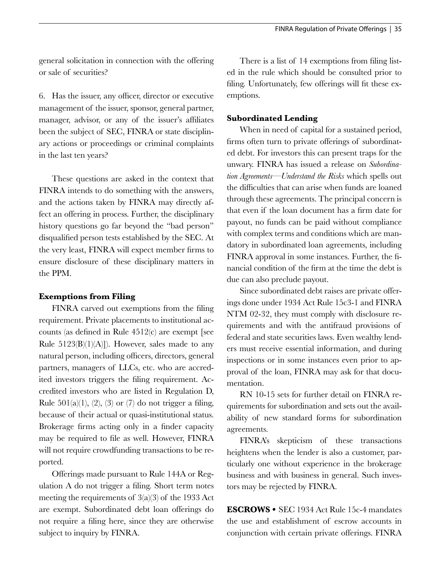general solicitation in connection with the offering or sale of securities?

6. Has the issuer, any officer, director or executive management of the issuer, sponsor, general partner, manager, advisor, or any of the issuer's affiliates been the subject of SEC, FINRA or state disciplinary actions or proceedings or criminal complaints in the last ten years?

These questions are asked in the context that FINRA intends to do something with the answers, and the actions taken by FINRA may directly affect an offering in process. Further, the disciplinary history questions go far beyond the "bad person" disqualified person tests established by the SEC. At the very least, FINRA will expect member firms to ensure disclosure of these disciplinary matters in the PPM.

## **Exemptions from Filing**

FINRA carved out exemptions from the filing requirement. Private placements to institutional accounts (as defined in Rule 4512(c) are exempt [see Rule  $5123(B)(1)(A)$ ]). However, sales made to any natural person, including officers, directors, general partners, managers of LLCs, etc. who are accredited investors triggers the filing requirement. Accredited investors who are listed in Regulation D, Rule  $501(a)(1)$ ,  $(2)$ ,  $(3)$  or  $(7)$  do not trigger a filing, because of their actual or quasi-institutional status. Brokerage firms acting only in a finder capacity may be required to file as well. However, FINRA will not require crowdfunding transactions to be reported.

Offerings made pursuant to Rule 144A or Regulation A do not trigger a filing. Short term notes meeting the requirements of  $3(a)(3)$  of the 1933 Act are exempt. Subordinated debt loan offerings do not require a filing here, since they are otherwise subject to inquiry by FINRA.

There is a list of 14 exemptions from filing listed in the rule which should be consulted prior to filing. Unfortunately, few offerings will fit these exemptions.

## **Subordinated Lending**

When in need of capital for a sustained period, firms often turn to private offerings of subordinated debt. For investors this can present traps for the unwary. FINRA has issued a release on *Subordination Agreements—Understand the Risks* which spells out the difficulties that can arise when funds are loaned through these agreements. The principal concern is that even if the loan document has a firm date for payout, no funds can be paid without compliance with complex terms and conditions which are mandatory in subordinated loan agreements, including FINRA approval in some instances. Further, the financial condition of the firm at the time the debt is due can also preclude payout.

Since subordinated debt raises are private offerings done under 1934 Act Rule 15c3-1 and FINRA NTM 02-32, they must comply with disclosure requirements and with the antifraud provisions of federal and state securities laws. Even wealthy lenders must receive essential information, and during inspections or in some instances even prior to approval of the loan, FINRA may ask for that documentation.

RN 10-15 sets for further detail on FINRA requirements for subordination and sets out the availability of new standard forms for subordination agreements.

FINRA's skepticism of these transactions heightens when the lender is also a customer, particularly one without experience in the brokerage business and with business in general. Such investors may be rejected by FINRA.

**ESCROWS •** SEC 1934 Act Rule 15c-4 mandates the use and establishment of escrow accounts in conjunction with certain private offerings. FINRA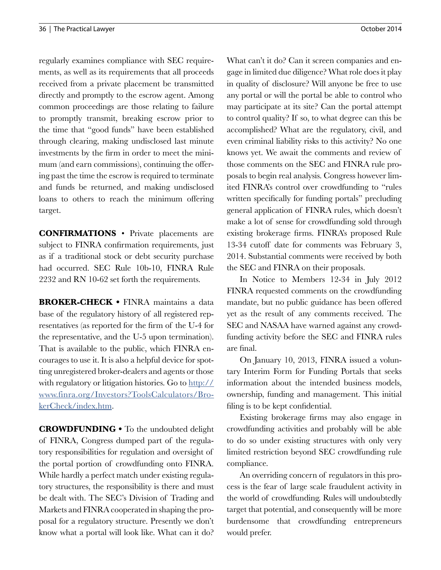regularly examines compliance with SEC requirements, as well as its requirements that all proceeds received from a private placement be transmitted directly and promptly to the escrow agent. Among common proceedings are those relating to failure to promptly transmit, breaking escrow prior to the time that "good funds" have been established through clearing, making undisclosed last minute investments by the firm in order to meet the minimum (and earn commissions), continuing the offering past the time the escrow is required to terminate and funds be returned, and making undisclosed loans to others to reach the minimum offering target.

**CONFIRMATIONS** • Private placements are subject to FINRA confirmation requirements, just as if a traditional stock or debt security purchase had occurred. SEC Rule 10b-10, FINRA Rule 2232 and RN 10-62 set forth the requirements.

**BROKER-CHECK •** FINRA maintains a data base of the regulatory history of all registered representatives (as reported for the firm of the U-4 for the representative, and the U-5 upon termination). That is available to the public, which FINRA encourages to use it. It is also a helpful device for spotting unregistered broker-dealers and agents or those with regulatory or litigation histories. Go to [http://](http://www.finra.org/Investors?ToolsCalculators/BrokerCheck/index.htm) [www.finra.org/Investors?ToolsCalculators/Bro](http://www.finra.org/Investors?ToolsCalculators/BrokerCheck/index.htm)[kerCheck/index.htm](http://www.finra.org/Investors?ToolsCalculators/BrokerCheck/index.htm).

**CROWDFUNDING •** To the undoubted delight of FINRA, Congress dumped part of the regulatory responsibilities for regulation and oversight of the portal portion of crowdfunding onto FINRA. While hardly a perfect match under existing regulatory structures, the responsibility is there and must be dealt with. The SEC's Division of Trading and Markets and FINRA cooperated in shaping the proposal for a regulatory structure. Presently we don't know what a portal will look like. What can it do?

What can't it do? Can it screen companies and engage in limited due diligence? What role does it play in quality of disclosure? Will anyone be free to use any portal or will the portal be able to control who may participate at its site? Can the portal attempt to control quality? If so, to what degree can this be accomplished? What are the regulatory, civil, and even criminal liability risks to this activity? No one knows yet. We await the comments and review of those comments on the SEC and FINRA rule proposals to begin real analysis. Congress however limited FINRA's control over crowdfunding to "rules written specifically for funding portals" precluding general application of FINRA rules, which doesn't make a lot of sense for crowdfunding sold through existing brokerage firms. FINRA's proposed Rule 13-34 cutoff date for comments was February 3, 2014. Substantial comments were received by both the SEC and FINRA on their proposals.

In Notice to Members 12-34 in July 2012 FINRA requested comments on the crowdfunding mandate, but no public guidance has been offered yet as the result of any comments received. The SEC and NASAA have warned against any crowdfunding activity before the SEC and FINRA rules are final.

On January 10, 2013, FINRA issued a voluntary Interim Form for Funding Portals that seeks information about the intended business models, ownership, funding and management. This initial filing is to be kept confidential.

Existing brokerage firms may also engage in crowdfunding activities and probably will be able to do so under existing structures with only very limited restriction beyond SEC crowdfunding rule compliance.

An overriding concern of regulators in this process is the fear of large scale fraudulent activity in the world of crowdfunding. Rules will undoubtedly target that potential, and consequently will be more burdensome that crowdfunding entrepreneurs would prefer.